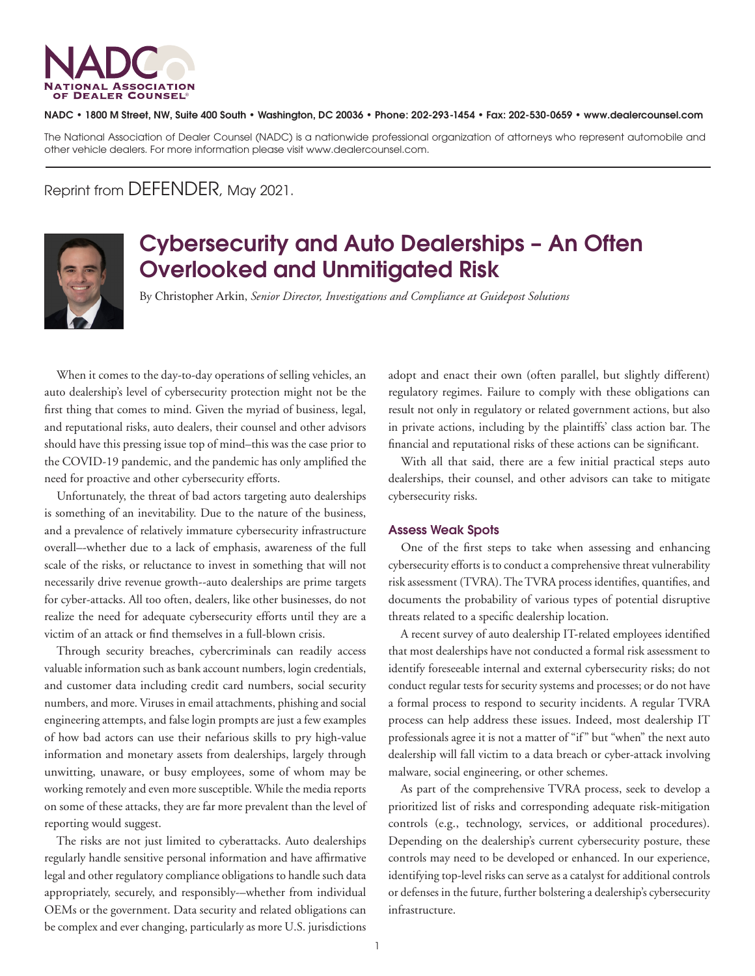

## NADC • 1800 M Street, NW, Suite 400 South • Washington, DC 20036 • Phone: 202-293-1454 • Fax: 202-530-0659 • www.dealercounsel.com

The National Association of Dealer Counsel (NADC) is a nationwide professional organization of attorneys who represent automobile and other vehicle dealers. For more information please visit www.dealercounsel.com.

Reprint from DEFENDER, May 2021.



## Cybersecurity and Auto Dealerships – An Often Overlooked and Unmitigated Risk

By Christopher Arkin, *Senior Director, Investigations and Compliance at Guidepost Solutions*

When it comes to the day-to-day operations of selling vehicles, an auto dealership's level of cybersecurity protection might not be the first thing that comes to mind. Given the myriad of business, legal, and reputational risks, auto dealers, their counsel and other advisors should have this pressing issue top of mind–this was the case prior to the COVID-19 pandemic, and the pandemic has only amplified the need for proactive and other cybersecurity efforts.

Unfortunately, the threat of bad actors targeting auto dealerships is something of an inevitability. Due to the nature of the business, and a prevalence of relatively immature cybersecurity infrastructure overall–-whether due to a lack of emphasis, awareness of the full scale of the risks, or reluctance to invest in something that will not necessarily drive revenue growth--auto dealerships are prime targets for cyber-attacks. All too often, dealers, like other businesses, do not realize the need for adequate cybersecurity efforts until they are a victim of an attack or find themselves in a full-blown crisis.

Through security breaches, cybercriminals can readily access valuable information such as bank account numbers, login credentials, and customer data including credit card numbers, social security numbers, and more. Viruses in email attachments, phishing and social engineering attempts, and false login prompts are just a few examples of how bad actors can use their nefarious skills to pry high-value information and monetary assets from dealerships, largely through unwitting, unaware, or busy employees, some of whom may be working remotely and even more susceptible. While the media reports on some of these attacks, they are far more prevalent than the level of reporting would suggest.

The risks are not just limited to cyberattacks. Auto dealerships regularly handle sensitive personal information and have affirmative legal and other regulatory compliance obligations to handle such data appropriately, securely, and responsibly-–whether from individual OEMs or the government. Data security and related obligations can be complex and ever changing, particularly as more U.S. jurisdictions

adopt and enact their own (often parallel, but slightly different) regulatory regimes. Failure to comply with these obligations can result not only in regulatory or related government actions, but also in private actions, including by the plaintiffs' class action bar. The financial and reputational risks of these actions can be significant.

With all that said, there are a few initial practical steps auto dealerships, their counsel, and other advisors can take to mitigate cybersecurity risks.

## Assess Weak Spots

One of the first steps to take when assessing and enhancing cybersecurity efforts is to conduct a comprehensive threat vulnerability risk assessment (TVRA). The TVRA process identifies, quantifies, and documents the probability of various types of potential disruptive threats related to a specific dealership location.

A recent survey of auto dealership IT-related employees identified that most dealerships have not conducted a formal risk assessment to identify foreseeable internal and external cybersecurity risks; do not conduct regular tests for security systems and processes; or do not have a formal process to respond to security incidents. A regular TVRA process can help address these issues. Indeed, most dealership IT professionals agree it is not a matter of "if" but "when" the next auto dealership will fall victim to a data breach or cyber-attack involving malware, social engineering, or other schemes.

As part of the comprehensive TVRA process, seek to develop a prioritized list of risks and corresponding adequate risk-mitigation controls (e.g., technology, services, or additional procedures). Depending on the dealership's current cybersecurity posture, these controls may need to be developed or enhanced. In our experience, identifying top-level risks can serve as a catalyst for additional controls or defenses in the future, further bolstering a dealership's cybersecurity infrastructure.